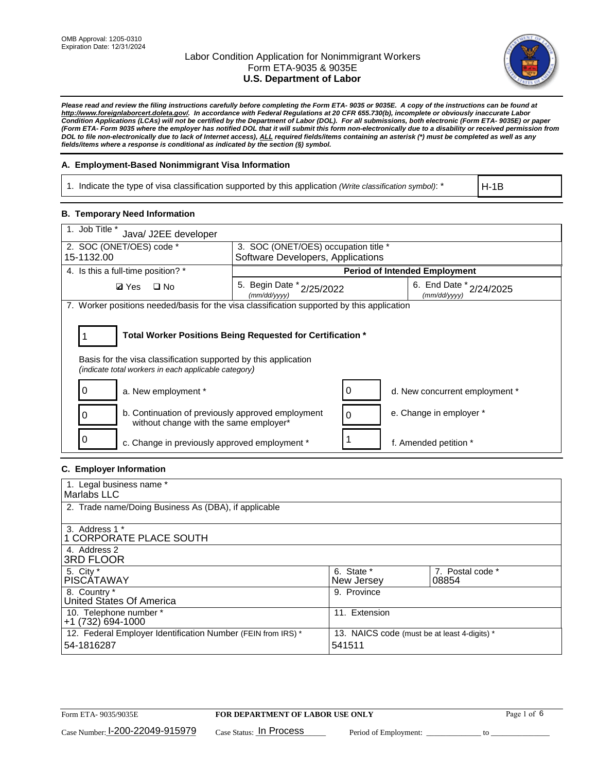

*Please read and review the filing instructions carefully before completing the Form ETA- 9035 or 9035E. A copy of the instructions can be found at http://www.foreignlaborcert.doleta.gov/. In accordance with Federal Regulations at 20 CFR 655.730(b), incomplete or obviously inaccurate Labor Condition Applications (LCAs) will not be certified by the Department of Labor (DOL). For all submissions, both electronic (Form ETA- 9035E) or paper (Form ETA- Form 9035 where the employer has notified DOL that it will submit this form non-electronically due to a disability or received permission from DOL to file non-electronically due to lack of Internet access), ALL required fields/items containing an asterisk (\*) must be completed as well as any fields/items where a response is conditional as indicated by the section (§) symbol.* 

### **A. Employment-Based Nonimmigrant Visa Information**

1. Indicate the type of visa classification supported by this application *(Write classification symbol)*: \*

H-1B

#### **B. Temporary Need Information**

| 1. Job Title *<br>Java/ J2EE developer                                                                                                                                                |                                               |  |                                             |  |  |
|---------------------------------------------------------------------------------------------------------------------------------------------------------------------------------------|-----------------------------------------------|--|---------------------------------------------|--|--|
| 2. SOC (ONET/OES) code *                                                                                                                                                              | 3. SOC (ONET/OES) occupation title *          |  |                                             |  |  |
| 15-1132.00                                                                                                                                                                            | Software Developers, Applications             |  |                                             |  |  |
| 4. Is this a full-time position? *                                                                                                                                                    |                                               |  | <b>Period of Intended Employment</b>        |  |  |
| $\Box$ No<br><b>Ø</b> Yes                                                                                                                                                             | 5. Begin Date $x_{2/25/2022}$<br>(mm/dd/yyyy) |  | 6. End Date $x_{2/24/2025}$<br>(mm/dd/yyyy) |  |  |
| 7. Worker positions needed/basis for the visa classification supported by this application                                                                                            |                                               |  |                                             |  |  |
| Total Worker Positions Being Requested for Certification *<br>Basis for the visa classification supported by this application<br>(indicate total workers in each applicable category) |                                               |  |                                             |  |  |
| a. New employment *                                                                                                                                                                   |                                               |  | d. New concurrent employment *              |  |  |
| b. Continuation of previously approved employment<br>without change with the same employer*                                                                                           |                                               |  | e. Change in employer *                     |  |  |
| c. Change in previously approved employment *                                                                                                                                         |                                               |  | f. Amended petition *                       |  |  |

# **C. Employer Information**

| 1. Legal business name *                                                   |                                                        |                           |
|----------------------------------------------------------------------------|--------------------------------------------------------|---------------------------|
| Marlabs LLC                                                                |                                                        |                           |
| 2. Trade name/Doing Business As (DBA), if applicable                       |                                                        |                           |
| 3. Address 1 *<br>1 CORPORATE PLACE SOUTH<br>4. Address 2                  |                                                        |                           |
| <b>3RD FLOOR</b>                                                           |                                                        |                           |
| 5. City *<br><b>PISCÁTAWAY</b>                                             | 6. State *<br>New Jersey                               | 7. Postal code *<br>08854 |
| 8. Country *<br>United States Of America                                   | 9. Province                                            |                           |
| 10. Telephone number *<br>$+1(732)694-1000$                                | 11. Extension                                          |                           |
| 12. Federal Employer Identification Number (FEIN from IRS) *<br>54-1816287 | 13. NAICS code (must be at least 4-digits) *<br>541511 |                           |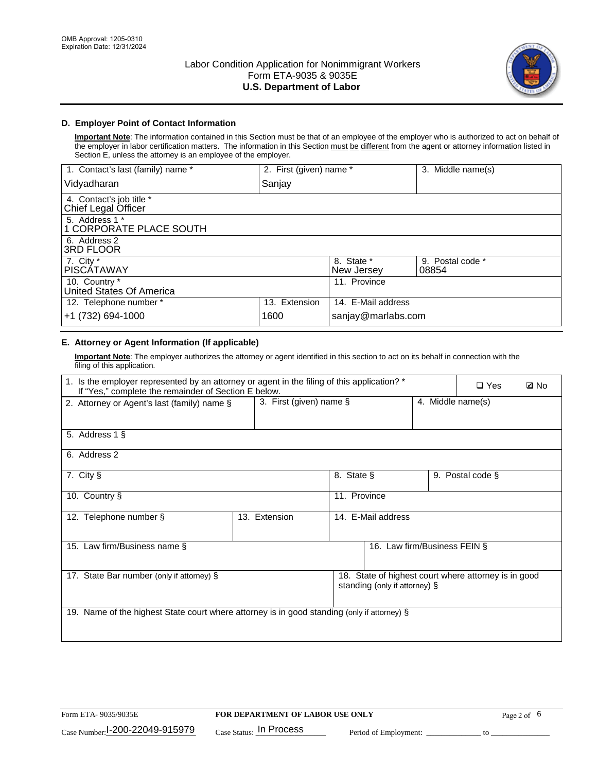

# **D. Employer Point of Contact Information**

**Important Note**: The information contained in this Section must be that of an employee of the employer who is authorized to act on behalf of the employer in labor certification matters. The information in this Section must be different from the agent or attorney information listed in Section E, unless the attorney is an employee of the employer.

| 1. Contact's last (family) name *               | 2. First (given) name * |                          | 3. Middle name(s)         |
|-------------------------------------------------|-------------------------|--------------------------|---------------------------|
| Vidyadharan                                     | Sanjay                  |                          |                           |
| 4. Contact's job title *<br>Chief Legal Officer |                         |                          |                           |
| 5. Address 1 *<br>1 CORPORATE PLACE SOUTH       |                         |                          |                           |
| 6. Address 2<br>3RD FLOOR                       |                         |                          |                           |
| 7. City $*$<br><b>PISCÁTAWAY</b>                |                         | 8. State *<br>New Jersey | 9. Postal code *<br>08854 |
| 10. Country *<br>United States Of America       |                         | 11. Province             |                           |
| 12. Telephone number *                          | 13. Extension           | 14. E-Mail address       |                           |
| +1 (732) 694-1000                               | 1600                    | sanjay@marlabs.com       |                           |

# **E. Attorney or Agent Information (If applicable)**

**Important Note**: The employer authorizes the attorney or agent identified in this section to act on its behalf in connection with the filing of this application.

| 1. Is the employer represented by an attorney or agent in the filing of this application? *<br>If "Yes," complete the remainder of Section E below. |                            |              |                               |                   | $\Box$ Yes                                           | <b>Ø</b> No |
|-----------------------------------------------------------------------------------------------------------------------------------------------------|----------------------------|--------------|-------------------------------|-------------------|------------------------------------------------------|-------------|
| 2. Attorney or Agent's last (family) name §                                                                                                         | 3. First (given) name $\S$ |              |                               | 4. Middle name(s) |                                                      |             |
| 5. Address 1 §                                                                                                                                      |                            |              |                               |                   |                                                      |             |
| 6. Address 2                                                                                                                                        |                            |              |                               |                   |                                                      |             |
| 7. City §                                                                                                                                           |                            | 8. State §   |                               |                   | 9. Postal code §                                     |             |
| 10. Country §                                                                                                                                       |                            | 11. Province |                               |                   |                                                      |             |
| 12. Telephone number §                                                                                                                              | 13. Extension              |              | 14. E-Mail address            |                   |                                                      |             |
| 15. Law firm/Business name §                                                                                                                        |                            |              | 16. Law firm/Business FEIN §  |                   |                                                      |             |
| 17. State Bar number (only if attorney) §                                                                                                           |                            |              | standing (only if attorney) § |                   | 18. State of highest court where attorney is in good |             |
| 19. Name of the highest State court where attorney is in good standing (only if attorney) §                                                         |                            |              |                               |                   |                                                      |             |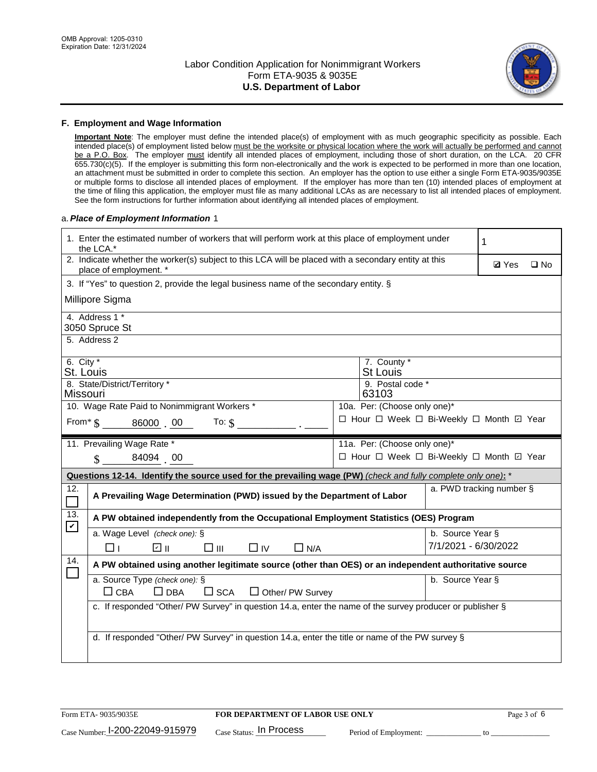

#### **F. Employment and Wage Information**

**Important Note**: The employer must define the intended place(s) of employment with as much geographic specificity as possible. Each intended place(s) of employment listed below must be the worksite or physical location where the work will actually be performed and cannot be a P.O. Box. The employer must identify all intended places of employment, including those of short duration, on the LCA. 20 CFR 655.730(c)(5). If the employer is submitting this form non-electronically and the work is expected to be performed in more than one location, an attachment must be submitted in order to complete this section. An employer has the option to use either a single Form ETA-9035/9035E or multiple forms to disclose all intended places of employment. If the employer has more than ten (10) intended places of employment at the time of filing this application, the employer must file as many additional LCAs as are necessary to list all intended places of employment. See the form instructions for further information about identifying all intended places of employment.

#### a.*Place of Employment Information* 1

|                                                                              | 1. Enter the estimated number of workers that will perform work at this place of employment under<br>the LCA.*                 |  | 1                                        |                      |                          |              |  |
|------------------------------------------------------------------------------|--------------------------------------------------------------------------------------------------------------------------------|--|------------------------------------------|----------------------|--------------------------|--------------|--|
|                                                                              | 2. Indicate whether the worker(s) subject to this LCA will be placed with a secondary entity at this<br>place of employment. * |  |                                          |                      | <b>Ø</b> Yes             | $\square$ No |  |
|                                                                              | 3. If "Yes" to question 2, provide the legal business name of the secondary entity. §                                          |  |                                          |                      |                          |              |  |
|                                                                              | Millipore Sigma                                                                                                                |  |                                          |                      |                          |              |  |
|                                                                              | 4. Address 1 *<br>3050 Spruce St                                                                                               |  |                                          |                      |                          |              |  |
|                                                                              | 5. Address 2                                                                                                                   |  |                                          |                      |                          |              |  |
|                                                                              | 6. City $*$<br>7. County *<br><b>St Louis</b><br>St. Louis                                                                     |  |                                          |                      |                          |              |  |
| 8. State/District/Territory *<br>9. Postal code *<br>63103<br>Missouri       |                                                                                                                                |  |                                          |                      |                          |              |  |
| 10. Wage Rate Paid to Nonimmigrant Workers *<br>10a. Per: (Choose only one)* |                                                                                                                                |  |                                          |                      |                          |              |  |
|                                                                              | □ Hour □ Week □ Bi-Weekly □ Month 回 Year<br>From * \$ 86000 00<br>To: $$$                                                      |  |                                          |                      |                          |              |  |
|                                                                              | 11. Prevailing Wage Rate *<br>11a. Per: (Choose only one)*                                                                     |  |                                          |                      |                          |              |  |
|                                                                              | 84094 00<br>$\mathbf{\hat{S}}$                                                                                                 |  | □ Hour □ Week □ Bi-Weekly □ Month □ Year |                      |                          |              |  |
|                                                                              | Questions 12-14. Identify the source used for the prevailing wage (PW) (check and fully complete only one): *                  |  |                                          |                      |                          |              |  |
| 12.<br>$\Box$                                                                | A Prevailing Wage Determination (PWD) issued by the Department of Labor                                                        |  |                                          |                      | a. PWD tracking number § |              |  |
| 13.<br>$\mathbf v$                                                           | A PW obtained independently from the Occupational Employment Statistics (OES) Program                                          |  |                                          |                      |                          |              |  |
|                                                                              | a. Wage Level (check one): §                                                                                                   |  |                                          | b. Source Year §     |                          |              |  |
|                                                                              | ☑ ॥<br>$\square$ $\square$<br>$\Box$ IV<br>$\Box$ N/A<br>⊓⊥                                                                    |  |                                          | 7/1/2021 - 6/30/2022 |                          |              |  |
| 14.                                                                          | A PW obtained using another legitimate source (other than OES) or an independent authoritative source                          |  |                                          |                      |                          |              |  |
|                                                                              | a. Source Type (check one): §<br>b. Source Year §<br>$\Box$ CBA<br>$\Box$ DBA<br>$\square$ SCA<br>$\Box$ Other/ PW Survey      |  |                                          |                      |                          |              |  |
|                                                                              | c. If responded "Other/ PW Survey" in question 14.a, enter the name of the survey producer or publisher §                      |  |                                          |                      |                          |              |  |
|                                                                              | d. If responded "Other/ PW Survey" in question 14.a, enter the title or name of the PW survey §                                |  |                                          |                      |                          |              |  |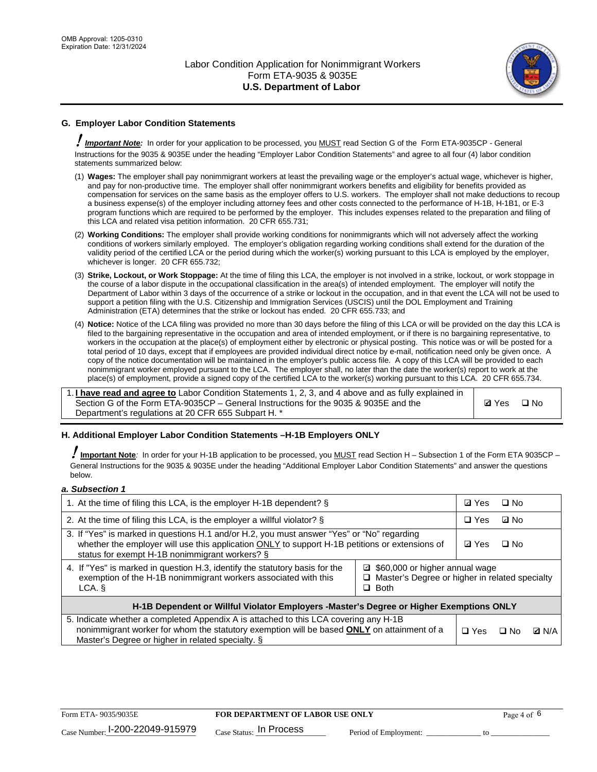

# **G. Employer Labor Condition Statements**

! *Important Note:* In order for your application to be processed, you MUST read Section G of the Form ETA-9035CP - General Instructions for the 9035 & 9035E under the heading "Employer Labor Condition Statements" and agree to all four (4) labor condition statements summarized below:

- (1) **Wages:** The employer shall pay nonimmigrant workers at least the prevailing wage or the employer's actual wage, whichever is higher, and pay for non-productive time. The employer shall offer nonimmigrant workers benefits and eligibility for benefits provided as compensation for services on the same basis as the employer offers to U.S. workers. The employer shall not make deductions to recoup a business expense(s) of the employer including attorney fees and other costs connected to the performance of H-1B, H-1B1, or E-3 program functions which are required to be performed by the employer. This includes expenses related to the preparation and filing of this LCA and related visa petition information. 20 CFR 655.731;
- (2) **Working Conditions:** The employer shall provide working conditions for nonimmigrants which will not adversely affect the working conditions of workers similarly employed. The employer's obligation regarding working conditions shall extend for the duration of the validity period of the certified LCA or the period during which the worker(s) working pursuant to this LCA is employed by the employer, whichever is longer. 20 CFR 655.732;
- (3) **Strike, Lockout, or Work Stoppage:** At the time of filing this LCA, the employer is not involved in a strike, lockout, or work stoppage in the course of a labor dispute in the occupational classification in the area(s) of intended employment. The employer will notify the Department of Labor within 3 days of the occurrence of a strike or lockout in the occupation, and in that event the LCA will not be used to support a petition filing with the U.S. Citizenship and Immigration Services (USCIS) until the DOL Employment and Training Administration (ETA) determines that the strike or lockout has ended. 20 CFR 655.733; and
- (4) **Notice:** Notice of the LCA filing was provided no more than 30 days before the filing of this LCA or will be provided on the day this LCA is filed to the bargaining representative in the occupation and area of intended employment, or if there is no bargaining representative, to workers in the occupation at the place(s) of employment either by electronic or physical posting. This notice was or will be posted for a total period of 10 days, except that if employees are provided individual direct notice by e-mail, notification need only be given once. A copy of the notice documentation will be maintained in the employer's public access file. A copy of this LCA will be provided to each nonimmigrant worker employed pursuant to the LCA. The employer shall, no later than the date the worker(s) report to work at the place(s) of employment, provide a signed copy of the certified LCA to the worker(s) working pursuant to this LCA. 20 CFR 655.734.

1. **I have read and agree to** Labor Condition Statements 1, 2, 3, and 4 above and as fully explained in Section G of the Form ETA-9035CP – General Instructions for the 9035 & 9035E and the Department's regulations at 20 CFR 655 Subpart H. \*

**Ø**Yes ロNo

### **H. Additional Employer Labor Condition Statements –H-1B Employers ONLY**

!**Important Note***:* In order for your H-1B application to be processed, you MUST read Section H – Subsection 1 of the Form ETA 9035CP – General Instructions for the 9035 & 9035E under the heading "Additional Employer Labor Condition Statements" and answer the questions below.

#### *a. Subsection 1*

| 1. At the time of filing this LCA, is the employer H-1B dependent? §                                                                                                                                                                                            |  | ⊡ Yes | □ No      |              |
|-----------------------------------------------------------------------------------------------------------------------------------------------------------------------------------------------------------------------------------------------------------------|--|-------|-----------|--------------|
| 2. At the time of filing this LCA, is the employer a willful violator? $\S$                                                                                                                                                                                     |  |       | ⊡ No      |              |
| 3. If "Yes" is marked in questions H.1 and/or H.2, you must answer "Yes" or "No" regarding<br>whether the employer will use this application ONLY to support H-1B petitions or extensions of<br>status for exempt H-1B nonimmigrant workers? §                  |  |       | $\Box$ No |              |
| 4. If "Yes" is marked in question H.3, identify the statutory basis for the<br>■ \$60,000 or higher annual wage<br>exemption of the H-1B nonimmigrant workers associated with this<br>□ Master's Degree or higher in related specialty<br>$\Box$ Both<br>LCA. § |  |       |           |              |
| H-1B Dependent or Willful Violator Employers -Master's Degree or Higher Exemptions ONLY                                                                                                                                                                         |  |       |           |              |
| 5. Indicate whether a completed Appendix A is attached to this LCA covering any H-1B<br>nonimmigrant worker for whom the statutory exemption will be based <b>ONLY</b> on attainment of a<br>Master's Degree or higher in related specialty. §                  |  |       | ⊡ No      | <b>D</b> N/A |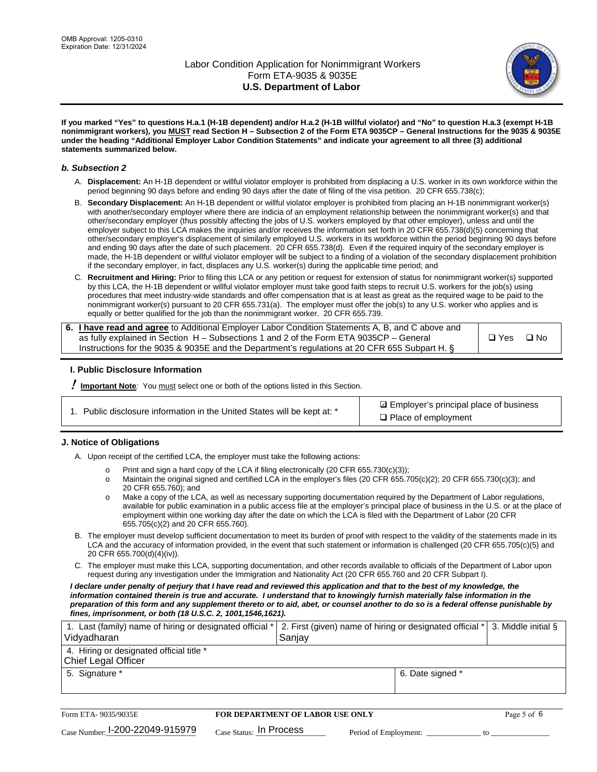

**If you marked "Yes" to questions H.a.1 (H-1B dependent) and/or H.a.2 (H-1B willful violator) and "No" to question H.a.3 (exempt H-1B nonimmigrant workers), you MUST read Section H – Subsection 2 of the Form ETA 9035CP – General Instructions for the 9035 & 9035E under the heading "Additional Employer Labor Condition Statements" and indicate your agreement to all three (3) additional statements summarized below.**

#### *b. Subsection 2*

- A. **Displacement:** An H-1B dependent or willful violator employer is prohibited from displacing a U.S. worker in its own workforce within the period beginning 90 days before and ending 90 days after the date of filing of the visa petition. 20 CFR 655.738(c);
- B. **Secondary Displacement:** An H-1B dependent or willful violator employer is prohibited from placing an H-1B nonimmigrant worker(s) with another/secondary employer where there are indicia of an employment relationship between the nonimmigrant worker(s) and that other/secondary employer (thus possibly affecting the jobs of U.S. workers employed by that other employer), unless and until the employer subject to this LCA makes the inquiries and/or receives the information set forth in 20 CFR 655.738(d)(5) concerning that other/secondary employer's displacement of similarly employed U.S. workers in its workforce within the period beginning 90 days before and ending 90 days after the date of such placement. 20 CFR 655.738(d). Even if the required inquiry of the secondary employer is made, the H-1B dependent or willful violator employer will be subject to a finding of a violation of the secondary displacement prohibition if the secondary employer, in fact, displaces any U.S. worker(s) during the applicable time period; and
- C. **Recruitment and Hiring:** Prior to filing this LCA or any petition or request for extension of status for nonimmigrant worker(s) supported by this LCA, the H-1B dependent or willful violator employer must take good faith steps to recruit U.S. workers for the job(s) using procedures that meet industry-wide standards and offer compensation that is at least as great as the required wage to be paid to the nonimmigrant worker(s) pursuant to 20 CFR 655.731(a). The employer must offer the job(s) to any U.S. worker who applies and is equally or better qualified for the job than the nonimmigrant worker. 20 CFR 655.739.

| 6. I have read and agree to Additional Employer Labor Condition Statements A, B, and C above and |       |           |
|--------------------------------------------------------------------------------------------------|-------|-----------|
| as fully explained in Section H – Subsections 1 and 2 of the Form ETA 9035CP – General           | □ Yes | $\Box$ No |
| Instructions for the 9035 & 9035E and the Department's regulations at 20 CFR 655 Subpart H. §    |       |           |

### **I. Public Disclosure Information**

! **Important Note***:* You must select one or both of the options listed in this Section.

| 1. Public disclosure information in the United States will be kept at: * |  |  |  |  |  |  |  |
|--------------------------------------------------------------------------|--|--|--|--|--|--|--|
|--------------------------------------------------------------------------|--|--|--|--|--|--|--|

**sqrt** Employer's principal place of business □ Place of employment

### **J. Notice of Obligations**

A. Upon receipt of the certified LCA, the employer must take the following actions:

- o Print and sign a hard copy of the LCA if filing electronically (20 CFR 655.730(c)(3));<br>
Maintain the original signed and certified LCA in the employer's files (20 CFR 655.7
- Maintain the original signed and certified LCA in the employer's files (20 CFR 655.705(c)(2); 20 CFR 655.730(c)(3); and 20 CFR 655.760); and
- o Make a copy of the LCA, as well as necessary supporting documentation required by the Department of Labor regulations, available for public examination in a public access file at the employer's principal place of business in the U.S. or at the place of employment within one working day after the date on which the LCA is filed with the Department of Labor (20 CFR 655.705(c)(2) and 20 CFR 655.760).
- B. The employer must develop sufficient documentation to meet its burden of proof with respect to the validity of the statements made in its LCA and the accuracy of information provided, in the event that such statement or information is challenged (20 CFR 655.705(c)(5) and 20 CFR 655.700(d)(4)(iv)).
- C. The employer must make this LCA, supporting documentation, and other records available to officials of the Department of Labor upon request during any investigation under the Immigration and Nationality Act (20 CFR 655.760 and 20 CFR Subpart I).

*I declare under penalty of perjury that I have read and reviewed this application and that to the best of my knowledge, the*  information contained therein is true and accurate. I understand that to knowingly furnish materially false information in the *preparation of this form and any supplement thereto or to aid, abet, or counsel another to do so is a federal offense punishable by fines, imprisonment, or both (18 U.S.C. 2, 1001,1546,1621).*

| 1. Last (family) name of hiring or designated official *   2. First (given) name of hiring or designated official *   3. Middle initial §<br>Vidyadharan | Saniav           |  |
|----------------------------------------------------------------------------------------------------------------------------------------------------------|------------------|--|
| 4. Hiring or designated official title *<br>Chief Legal Officer                                                                                          |                  |  |
| 5. Signature *                                                                                                                                           | 6. Date signed * |  |

| Form ETA-9035/9035E                         | FOR DEPARTMENT OF LABOR USE ONLY   | Page 5 of 6           |  |
|---------------------------------------------|------------------------------------|-----------------------|--|
| $_{\text{Case Number:}}$ 1-200-22049-915979 | $_{\rm Case~S status:}$ In Process | Period of Employment: |  |